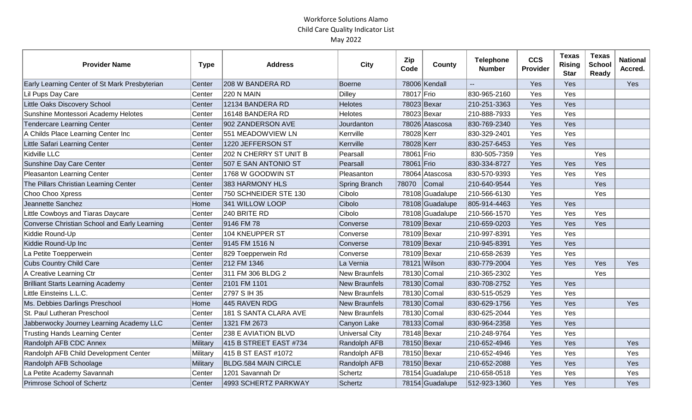| <b>Provider Name</b>                          | <b>Type</b> | <b>Address</b>              | <b>City</b>           | Zip<br>Code | County          | <b>Telephone</b><br><b>Number</b> | <b>CCS</b><br>Provider | <b>Texas</b><br><b>Rising</b><br><b>Star</b> | <b>Texas</b><br><b>School</b><br>Ready | <b>National</b><br>Accred. |
|-----------------------------------------------|-------------|-----------------------------|-----------------------|-------------|-----------------|-----------------------------------|------------------------|----------------------------------------------|----------------------------------------|----------------------------|
| Early Learning Center of St Mark Presbyterian | Center      | 208 W BANDERA RD            | Boerne                |             | 78006 Kendall   |                                   | Yes                    | Yes                                          |                                        | Yes                        |
| Lil Pups Day Care                             | Center      | <b>220 N MAIN</b>           | Dilley                | 78017 Frio  |                 | 830-965-2160                      | Yes                    | Yes                                          |                                        |                            |
| Little Oaks Discovery School                  | Center      | 12134 BANDERA RD            | <b>Helotes</b>        | 78023 Bexar |                 | 210-251-3363                      | Yes                    | Yes                                          |                                        |                            |
| Sunshine Montessori Academy Helotes           | Center      | 16148 BANDERA RD            | <b>Helotes</b>        | 78023 Bexar |                 | 210-888-7933                      | Yes                    | Yes                                          |                                        |                            |
| <b>Tendercare Learning Center</b>             | Center      | 902 ZANDERSON AVE           | Jourdanton            |             | 78026 Atascosa  | 830-769-2340                      | Yes                    | Yes                                          |                                        |                            |
| A Childs Place Learning Center Inc            | Center      | 551 MEADOWVIEW LN           | Kerrville             | 78028 Kerr  |                 | 830-329-2401                      | Yes                    | Yes                                          |                                        |                            |
| Little Safari Learning Center                 | Center      | 1220 JEFFERSON ST           | Kerrville             | 78028 Kerr  |                 | 830-257-6453                      | Yes                    | Yes                                          |                                        |                            |
| Kidville LLC                                  | Center      | 202 N CHERRY ST UNIT B      | Pearsall              | 78061 Frio  |                 | 830-505-7359                      | Yes                    |                                              | Yes                                    |                            |
| Sunshine Day Care Center                      | Center      | 507 E SAN ANTONIO ST        | Pearsall              | 78061 Frio  |                 | 830-334-8727                      | Yes                    | Yes                                          | Yes                                    |                            |
| Pleasanton Learning Center                    | Center      | 1768 W GOODWIN ST           | Pleasanton            |             | 78064 Atascosa  | 830-570-9393                      | Yes                    | Yes                                          | Yes                                    |                            |
| The Pillars Christian Learning Center         | Center      | 383 HARMONY HLS             | Spring Branch         | 78070       | Comal           | 210-640-9544                      | Yes                    |                                              | Yes                                    |                            |
| Choo Choo Xpress                              | Center      | 750 SCHNEIDER STE 130       | Cibolo                |             | 78108 Guadalupe | 210-566-6130                      | Yes                    |                                              | Yes                                    |                            |
| Jeannette Sanchez                             | Home        | 341 WILLOW LOOP             | Cibolo                |             | 78108 Guadalupe | 805-914-4463                      | Yes                    | Yes                                          |                                        |                            |
| Little Cowboys and Tiaras Daycare             | Center      | 240 BRITE RD                | Cibolo                |             | 78108 Guadalupe | 210-566-1570                      | Yes                    | Yes                                          | Yes                                    |                            |
| Converse Christian School and Early Learning  | Center      | 9146 FM 78                  | Converse              | 78109 Bexar |                 | 210-659-0203                      | Yes                    | Yes                                          | Yes                                    |                            |
| Kiddie Round-Up                               | Center      | 104 KNEUPPER ST             | Converse              | 78109 Bexar |                 | 210-997-8391                      | Yes                    | Yes                                          |                                        |                            |
| Kiddie Round-Up Inc                           | Center      | 9145 FM 1516 N              | Converse              |             | 78109 Bexar     | 210-945-8391                      | Yes                    | Yes                                          |                                        |                            |
| La Petite Toepperwein                         | Center      | 829 Toepperwein Rd          | Converse              | 78109 Bexar |                 | 210-658-2639                      | Yes                    | Yes                                          |                                        |                            |
| <b>Cubs Country Child Care</b>                | Center      | 212 FM 1346                 | La Vernia             |             | 78121 Wilson    | 830-779-2004                      | Yes                    | Yes                                          | Yes                                    | Yes                        |
| A Creative Learning Ctr                       | Center      | 311 FM 306 BLDG 2           | <b>New Braunfels</b>  |             | 78130 Comal     | 210-365-2302                      | Yes                    |                                              | Yes                                    |                            |
| <b>Brilliant Starts Learning Academy</b>      | Center      | 2101 FM 1101                | <b>New Braunfels</b>  |             | 78130 Comal     | 830-708-2752                      | Yes                    | Yes                                          |                                        |                            |
| Little Einsteins L.L.C.                       | Center      | 2797 S IH 35                | <b>New Braunfels</b>  |             | 78130 Comal     | 830-515-0529                      | Yes                    | Yes                                          |                                        |                            |
| Ms. Debbies Darlings Preschool                | Home        | 445 RAVEN RDG               | <b>New Braunfels</b>  |             | 78130 Comal     | 830-629-1756                      | Yes                    | Yes                                          |                                        | Yes                        |
| St. Paul Lutheran Preschool                   | Center      | 181 S SANTA CLARA AVE       | <b>New Braunfels</b>  |             | 78130 Comal     | 830-625-2044                      | Yes                    | Yes                                          |                                        |                            |
| Jabberwocky Journey Learning Academy LLC      | Center      | 1321 FM 2673                | Canyon Lake           |             | 78133 Comal     | 830-964-2358                      | Yes                    | Yes                                          |                                        |                            |
| <b>Trusting Hands Learning Center</b>         | Center      | 238 E AVIATION BLVD         | <b>Universal City</b> | 78148 Bexar |                 | 210-248-9764                      | Yes                    | Yes                                          |                                        |                            |
| Randolph AFB CDC Annex                        | Military    | 415 B STREET EAST #734      | Randolph AFB          | 78150 Bexar |                 | 210-652-4946                      | Yes                    | Yes                                          |                                        | Yes                        |
| Randolph AFB Child Development Center         | Military    | 415 B ST EAST #1072         | Randolph AFB          | 78150 Bexar |                 | 210-652-4946                      | Yes                    | Yes                                          |                                        | Yes                        |
| Randolph AFB Schoolage                        | Military    | <b>BLDG.584 MAIN CIRCLE</b> | Randolph AFB          | 78150 Bexar |                 | 210-652-2088                      | Yes                    | Yes                                          |                                        | Yes                        |
| La Petite Academy Savannah                    | Center      | 1201 Savannah Dr            | Schertz               |             | 78154 Guadalupe | 210-658-0518                      | Yes                    | Yes                                          |                                        | Yes                        |
| Primrose School of Schertz                    | Center      | 4993 SCHERTZ PARKWAY        | Schertz               |             | 78154 Guadalupe | 512-923-1360                      | Yes                    | Yes                                          |                                        | Yes                        |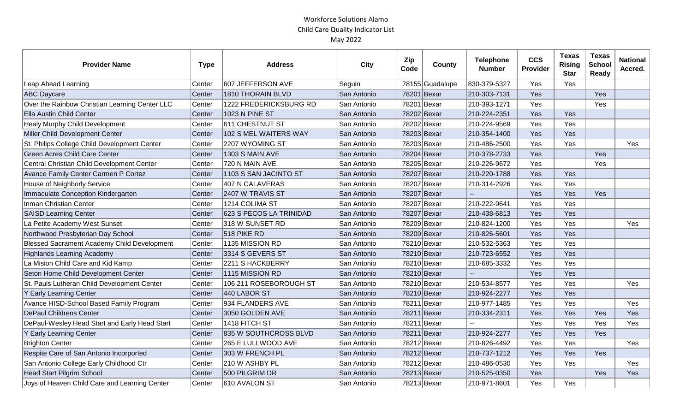| <b>Provider Name</b>                               | <b>Type</b> | <b>Address</b>          | City        | Zip<br>Code | County          | <b>Telephone</b><br><b>Number</b> | <b>CCS</b><br>Provider | <b>Texas</b><br><b>Rising</b><br><b>Star</b> | <b>Texas</b><br><b>School</b><br><b>Ready</b> | <b>National</b><br>Accred. |
|----------------------------------------------------|-------------|-------------------------|-------------|-------------|-----------------|-----------------------------------|------------------------|----------------------------------------------|-----------------------------------------------|----------------------------|
| Leap Ahead Learning                                | Center      | 607 JEFFERSON AVE       | Seguin      |             | 78155 Guadalupe | 830-379-5327                      | Yes                    | Yes                                          |                                               |                            |
| <b>ABC Daycare</b>                                 | Center      | 1810 THORAIN BLVD       | San Antonio |             | 78201 Bexar     | 210-303-7131                      | Yes                    |                                              | Yes                                           |                            |
| Over the Rainbow Christian Learning Center LLC     | Center      | 1222 FREDERICKSBURG RD  | San Antonio | 78201 Bexar |                 | 210-393-1271                      | Yes                    |                                              | Yes                                           |                            |
| <b>Ella Austin Child Center</b>                    | Center      | <b>1023 N PINE ST</b>   | San Antonio | 78202 Bexar |                 | 210-224-2351                      | Yes                    | Yes                                          |                                               |                            |
| <b>Healy Murphy Child Development</b>              | Center      | 611 CHESTNUT ST         | San Antonio |             | 78202 Bexar     | 210-224-9569                      | Yes                    | Yes                                          |                                               |                            |
| Miller Child Development Center                    | Center      | 102 S MEL WAITERS WAY   | San Antonio |             | 78203 Bexar     | 210-354-1400                      | Yes                    | Yes                                          |                                               |                            |
| St. Philips College Child Development Center       | Center      | 2207 WYOMING ST         | San Antonio | 78203 Bexar |                 | 210-486-2500                      | Yes                    | Yes                                          |                                               | Yes                        |
| <b>Green Acres Child Care Center</b>               | Center      | 1303 S MAIN AVE         | San Antonio | 78204 Bexar |                 | 210-378-2733                      | Yes                    |                                              | Yes                                           |                            |
| Central Christian Child Development Center         | Center      | 720 N MAIN AVE          | San Antonio | 78205 Bexar |                 | 210-226-9672                      | Yes                    |                                              | Yes                                           |                            |
| Avance Family Center Carmen P Cortez               | Center      | 1103 S SAN JACINTO ST   | San Antonio |             | 78207 Bexar     | 210-220-1788                      | Yes                    | Yes                                          |                                               |                            |
| House of Neighborly Service                        | Center      | <b>407 N CALAVERAS</b>  | San Antonio |             | 78207 Bexar     | 210-314-2926                      | Yes                    | Yes                                          |                                               |                            |
| Immaculate Conception Kindergarten                 | Center      | 2407 W TRAVIS ST        | San Antonio |             | 78207 Bexar     |                                   | Yes                    | Yes                                          | Yes                                           |                            |
| Inman Christian Center                             | Center      | 1214 COLIMA ST          | San Antonio | 78207 Bexar |                 | 210-222-9641                      | Yes                    | Yes                                          |                                               |                            |
| <b>SAISD Learning Center</b>                       | Center      | 623 S PECOS LA TRINIDAD | San Antonio |             | 78207 Bexar     | 210-438-6813                      | Yes                    | Yes                                          |                                               |                            |
| La Petite Academy West Sunset                      | Center      | 318 W SUNSET RD         | San Antonio | 78209 Bexar |                 | 210-824-1200                      | Yes                    | Yes                                          |                                               | Yes                        |
| Northwood Presbyterian Day School                  | Center      | 518 PIKE RD             | San Antonio |             | 78209 Bexar     | 210-826-5601                      | Yes                    | Yes                                          |                                               |                            |
| <b>Blessed Sacrament Academy Child Development</b> | Center      | 1135 MISSION RD         | San Antonio | 78210 Bexar |                 | 210-532-5363                      | Yes                    | Yes                                          |                                               |                            |
| <b>Highlands Learning Academy</b>                  | Center      | 3314 S GEVERS ST        | San Antonio | 78210 Bexar |                 | 210-723-6552                      | Yes                    | Yes                                          |                                               |                            |
| La Mision Child Care and Kid Kamp                  | Center      | 2211 S HACKBERRY        | San Antonio | 78210 Bexar |                 | 210-685-3332                      | Yes                    | Yes                                          |                                               |                            |
| Seton Home Child Development Center                | Center      | 1115 MISSION RD         | San Antonio | 78210 Bexar |                 |                                   | Yes                    | Yes                                          |                                               |                            |
| St. Pauls Lutheran Child Development Center        | Center      | 106 211 ROSEBOROUGH ST  | San Antonio | 78210 Bexar |                 | 210-534-8577                      | Yes                    | Yes                                          |                                               | Yes                        |
| Y Early Learning Center                            | Center      | 440 LABOR ST            | San Antonio | 78210 Bexar |                 | 210-924-2277                      | Yes                    | Yes                                          |                                               |                            |
| Avance HISD-School Based Family Program            | Center      | 934 FLANDERS AVE        | San Antonio | 78211 Bexar |                 | 210-977-1485                      | Yes                    | Yes                                          |                                               | Yes                        |
| <b>DePaul Childrens Center</b>                     | Center      | 3050 GOLDEN AVE         | San Antonio |             | 78211 Bexar     | 210-334-2311                      | Yes                    | Yes                                          | Yes                                           | Yes                        |
| DePaul-Wesley Head Start and Early Head Start      | Center      | 1418 FITCH ST           | San Antonio | 78211 Bexar |                 |                                   | Yes                    | Yes                                          | Yes                                           | Yes                        |
| Y Early Learning Center                            | Center      | 835 W SOUTHCROSS BLVD   | San Antonio | 78211 Bexar |                 | 210-924-2277                      | Yes                    | Yes                                          | Yes                                           |                            |
| <b>Brighton Center</b>                             | Center      | 265 E LULLWOOD AVE      | San Antonio | 78212 Bexar |                 | 210-826-4492                      | Yes                    | Yes                                          |                                               | Yes                        |
| Respite Care of San Antonio Incorported            | Center      | 303 W FRENCH PL         | San Antonio |             | 78212 Bexar     | 210-737-1212                      | Yes                    | Yes                                          | Yes                                           |                            |
| San Antonio College Early Childhood Ctr            | Center      | 210 W ASHBY PL          | San Antonio | 78212 Bexar |                 | 210-486-0530                      | Yes                    | Yes                                          |                                               | Yes                        |
| <b>Head Start Pilgrim School</b>                   | Center      | 500 PILGRIM DR          | San Antonio |             | 78213 Bexar     | 210-525-0350                      | Yes                    |                                              | Yes                                           | Yes                        |
| Joys of Heaven Child Care and Learning Center      | Center      | 610 AVALON ST           | San Antonio | 78213 Bexar |                 | 210-971-8601                      | Yes                    | Yes                                          |                                               |                            |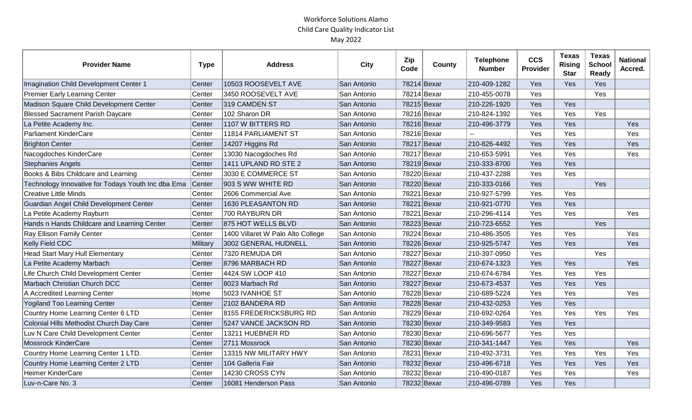| <b>Provider Name</b>                               | <b>Type</b> | <b>Address</b>                    | <b>City</b> | Zip<br>Code | County | <b>Telephone</b><br><b>Number</b> | <b>CCS</b><br>Provider | <b>Texas</b><br><b>Rising</b><br><b>Star</b> | <b>Texas</b><br><b>School</b><br><b>Ready</b> | <b>National</b><br>Accred. |
|----------------------------------------------------|-------------|-----------------------------------|-------------|-------------|--------|-----------------------------------|------------------------|----------------------------------------------|-----------------------------------------------|----------------------------|
| Imagination Child Development Center 1             | Center      | 10503 ROOSEVELT AVE               | San Antonio | 78214 Bexar |        | 210-409-1282                      | Yes                    | Yes                                          | Yes                                           |                            |
| <b>Premier Early Learning Center</b>               | Center      | 3450 ROOSEVELT AVE                | San Antonio | 78214 Bexar |        | 210-455-0078                      | Yes                    |                                              | Yes                                           |                            |
| Madison Square Child Development Center            | Center      | 319 CAMDEN ST                     | San Antonio | 78215 Bexar |        | 210-226-1920                      | Yes                    | Yes                                          |                                               |                            |
| <b>Blessed Sacrament Parish Daycare</b>            | Center      | 102 Sharon DR                     | San Antonio | 78216 Bexar |        | 210-824-1392                      | Yes                    | Yes                                          | Yes                                           |                            |
| La Petite Academy Inc.                             | Center      | 1107 W BITTERS RD                 | San Antonio | 78216 Bexar |        | 210-496-3779                      | Yes                    | Yes                                          |                                               | Yes                        |
| Parliament KinderCare                              | Center      | 11814 PARLIAMENT ST               | San Antonio | 78216 Bexar |        |                                   | Yes                    | Yes                                          |                                               | Yes                        |
| <b>Brighton Center</b>                             | Center      | 14207 Higgins Rd                  | San Antonio | 78217 Bexar |        | 210-826-4492                      | Yes                    | Yes                                          |                                               | Yes                        |
| Nacogdoches KinderCare                             | Center      | 13030 Nacogdoches Rd              | San Antonio | 78217 Bexar |        | 210-653-5991                      | Yes                    | Yes                                          |                                               | Yes                        |
| <b>Stephanies Angels</b>                           | Center      | 1411 UPLAND RD STE 2              | San Antonio | 78219 Bexar |        | 210-333-8700                      | Yes                    | Yes                                          |                                               |                            |
| Books & Bibs Childcare and Learning                | Center      | 3030 E COMMERCE ST                | San Antonio | 78220 Bexar |        | 210-437-2288                      | Yes                    | Yes                                          |                                               |                            |
| Technology Innovative for Todays Youth Inc dba Ema | Center      | 903 S WW WHITE RD                 | San Antonio | 78220 Bexar |        | 210-333-0166                      | Yes                    |                                              | Yes                                           |                            |
| Creative Little Minds                              | Center      | 2606 Commercial Ave               | San Antonio | 78221 Bexar |        | 210-927-5799                      | Yes                    | Yes                                          |                                               |                            |
| Guardian Angel Child Development Center            | Center      | 1630 PLEASANTON RD                | San Antonio | 78221 Bexar |        | 210-921-0770                      | Yes                    | Yes                                          |                                               |                            |
| La Petite Academy Rayburn                          | Center      | 700 RAYBURN DR                    | San Antonio | 78221 Bexar |        | 210-296-4114                      | Yes                    | Yes                                          |                                               | Yes                        |
| Hands n Hands Childcare and Learning Center        | Center      | 875 HOT WELLS BLVD                | San Antonio | 78223 Bexar |        | 210-723-6552                      | Yes                    |                                              | Yes                                           |                            |
| Ray Ellison Family Center                          | Center      | 1400 Villaret W Palo Alto College | San Antonio | 78224 Bexar |        | 210-486-3505                      | Yes                    | Yes                                          |                                               | Yes                        |
| <b>Kelly Field CDC</b>                             | Military    | 3002 GENERAL HUDNELL              | San Antonio | 78226 Bexar |        | 210-925-5747                      | Yes                    | Yes                                          |                                               | Yes                        |
| <b>Head Start Mary Hull Elementary</b>             | Center      | 7320 REMUDA DR                    | San Antonio | 78227 Bexar |        | 210-397-0950                      | Yes                    |                                              | Yes                                           |                            |
| La Petite Academy Marbach                          | Center      | 8796 MARBACH RD                   | San Antonio | 78227 Bexar |        | 210-674-1323                      | Yes                    | Yes                                          |                                               | Yes                        |
| Life Church Child Development Center               | Center      | 4424 SW LOOP 410                  | San Antonio | 78227 Bexar |        | 210-674-6784                      | Yes                    | Yes                                          | Yes                                           |                            |
| Marbach Christian Church DCC                       | Center      | 8023 Marbach Rd                   | San Antonio | 78227 Bexar |        | 210-673-4537                      | Yes                    | Yes                                          | Yes                                           |                            |
| A Accredited Learning Center                       | Home        | 5023 IVANHOE ST                   | San Antonio | 78228 Bexar |        | 210-689-5224                      | Yes                    | Yes                                          |                                               | Yes                        |
| <b>Yogiland Too Learning Center</b>                | Center      | 2102 BANDERA RD                   | San Antonio | 78228 Bexar |        | 210-432-0253                      | Yes                    | Yes                                          |                                               |                            |
| Country Home Learning Center 6 LTD                 | Center      | 8155 FREDERICKSBURG RD            | San Antonio | 78229 Bexar |        | 210-692-0264                      | Yes                    | Yes                                          | Yes                                           | Yes                        |
| Colonial Hills Methodist Church Day Care           | Center      | 5247 VANCE JACKSON RD             | San Antonio | 78230 Bexar |        | 210-349-9583                      | Yes                    | Yes                                          |                                               |                            |
| Luv N Care Child Development Center                | Center      | 13211 HUEBNER RD                  | San Antonio | 78230 Bexar |        | 210-696-5677                      | Yes                    | Yes                                          |                                               |                            |
| <b>Mossrock KinderCare</b>                         | Center      | 2711 Mossrock                     | San Antonio | 78230 Bexar |        | 210-341-1447                      | Yes                    | Yes                                          |                                               | Yes                        |
| Country Home Learning Center 1 LTD.                | Center      | 13315 NW MILITARY HWY             | San Antonio | 78231 Bexar |        | 210-492-3731                      | Yes                    | Yes                                          | Yes                                           | Yes                        |
| Country Home Learning Center 2 LTD                 | Center      | 104 Galleria Fair                 | San Antonio | 78232 Bexar |        | 210-496-6718                      | Yes                    | Yes                                          | Yes                                           | Yes                        |
| <b>Heimer KinderCare</b>                           | Center      | 14230 CROSS CYN                   | San Antonio | 78232 Bexar |        | 210-490-0187                      | Yes                    | Yes                                          |                                               | Yes                        |
| Luv-n-Care No. 3                                   | Center      | 16081 Henderson Pass              | San Antonio | 78232 Bexar |        | 210-496-0789                      | Yes                    | Yes                                          |                                               |                            |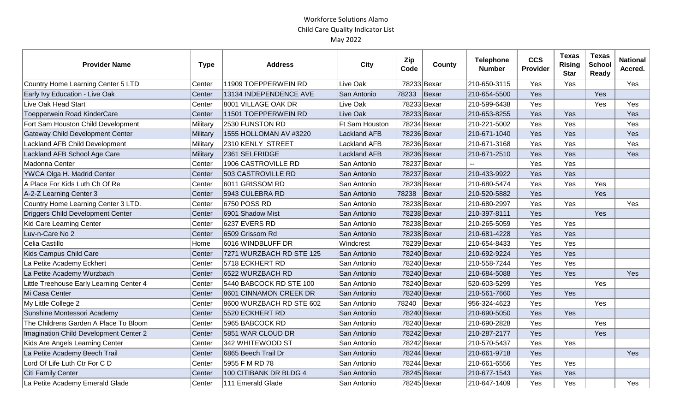| <b>Provider Name</b>                     | <b>Type</b> | <b>Address</b>           | <b>City</b>         | Zip<br>Code | County      | <b>Telephone</b><br><b>Number</b> | <b>CCS</b><br>Provider | <b>Texas</b><br><b>Rising</b><br><b>Star</b> | <b>Texas</b><br><b>School</b><br>Ready | <b>National</b><br>Accred. |
|------------------------------------------|-------------|--------------------------|---------------------|-------------|-------------|-----------------------------------|------------------------|----------------------------------------------|----------------------------------------|----------------------------|
| Country Home Learning Center 5 LTD       | Center      | 11909 TOEPPERWEIN RD     | Live Oak            |             | 78233 Bexar | 210-650-3115                      | Yes                    | Yes                                          |                                        | Yes                        |
| Early Ivy Education - Live Oak           | Center      | 13134 INDEPENDENCE AVE   | San Antonio         | 78233       | Bexar       | 210-654-5500                      | Yes                    |                                              | Yes                                    |                            |
| Live Oak Head Start                      | Center      | 8001 VILLAGE OAK DR      | Live Oak            |             | 78233 Bexar | 210-599-6438                      | Yes                    |                                              | Yes                                    | Yes                        |
| Toepperwein Road KinderCare              | Center      | 11501 TOEPPERWEIN RD     | Live Oak            |             | 78233 Bexar | 210-653-8255                      | Yes                    | Yes                                          |                                        | Yes                        |
| Fort Sam Houston Child Development       | Military    | 2530 FUNSTON RD          | Ft Sam Houston      |             | 78234 Bexar | 210-221-5002                      | Yes                    | Yes                                          |                                        | Yes                        |
| <b>Gateway Child Development Center</b>  | Military    | 1555 HOLLOMAN AV #3220   | <b>Lackland AFB</b> |             | 78236 Bexar | 210-671-1040                      | Yes                    | Yes                                          |                                        | Yes                        |
| Lackland AFB Child Development           | Military    | 2310 KENLY STREET        | <b>Lackland AFB</b> |             | 78236 Bexar | 210-671-3168                      | Yes                    | Yes                                          |                                        | Yes                        |
| Lackland AFB School Age Care             | Military    | 2361 SELFRIDGE           | <b>Lackland AFB</b> |             | 78236 Bexar | 210-671-2510                      | Yes                    | Yes                                          |                                        | Yes                        |
| Madonna Center                           | Center      | 1906 CASTROVILLE RD      | San Antonio         |             | 78237 Bexar |                                   | Yes                    | Yes                                          |                                        |                            |
| YWCA Olga H. Madrid Center               | Center      | 503 CASTROVILLE RD       | San Antonio         |             | 78237 Bexar | 210-433-9922                      | Yes                    | Yes                                          |                                        |                            |
| A Place For Kids Luth Ch Of Re           | Center      | 6011 GRISSOM RD          | San Antonio         |             | 78238 Bexar | 210-680-5474                      | Yes                    | Yes                                          | Yes                                    |                            |
| A-2-Z Learning Center 3                  | Center      | 5943 CULEBRA RD          | San Antonio         | 78238       | Bexar       | 210-520-5882                      | Yes                    |                                              | Yes                                    |                            |
| Country Home Learning Center 3 LTD.      | Center      | 6750 POSS RD             | San Antonio         |             | 78238 Bexar | 210-680-2997                      | Yes                    | Yes                                          |                                        | Yes                        |
| Driggers Child Development Center        | Center      | 6901 Shadow Mist         | San Antonio         |             | 78238 Bexar | 210-397-8111                      | Yes                    |                                              | Yes                                    |                            |
| Kid Care Learning Center                 | Center      | 6237 EVERS RD            | San Antonio         |             | 78238 Bexar | 210-265-5059                      | Yes                    | Yes                                          |                                        |                            |
| Luv-n-Care No 2                          | Center      | 6509 Grissom Rd          | San Antonio         |             | 78238 Bexar | 210-681-4228                      | Yes                    | Yes                                          |                                        |                            |
| Celia Castillo                           | Home        | 6016 WINDBLUFF DR        | Windcrest           |             | 78239 Bexar | 210-654-8433                      | Yes                    | Yes                                          |                                        |                            |
| Kids Campus Child Care                   | Center      | 7271 WURZBACH RD STE 125 | San Antonio         |             | 78240 Bexar | 210-692-9224                      | Yes                    | Yes                                          |                                        |                            |
| La Petite Academy Eckhert                | Center      | 5718 ECKHERT RD          | San Antonio         |             | 78240 Bexar | 210-558-7244                      | Yes                    | Yes                                          |                                        |                            |
| La Petite Academy Wurzbach               | Center      | 6522 WURZBACH RD         | San Antonio         |             | 78240 Bexar | 210-684-5088                      | Yes                    | Yes                                          |                                        | Yes                        |
| Little Treehouse Early Learning Center 4 | Center      | 5440 BABCOCK RD STE 100  | San Antonio         |             | 78240 Bexar | 520-603-5299                      | Yes                    |                                              | Yes                                    |                            |
| Mi Casa Center                           | Center      | 8601 CINNAMON CREEK DR   | San Antonio         |             | 78240 Bexar | 210-561-7660                      | Yes                    | Yes                                          |                                        |                            |
| My Little College 2                      | Center      | 8600 WURZBACH RD STE 602 | San Antonio         | 78240       | Bexar       | 956-324-4623                      | Yes                    |                                              | Yes                                    |                            |
| Sunshine Montessori Academy              | Center      | 5520 ECKHERT RD          | San Antonio         |             | 78240 Bexar | 210-690-5050                      | Yes                    | Yes                                          |                                        |                            |
| The Childrens Garden A Place To Bloom    | Center      | 5965 BABCOCK RD          | San Antonio         |             | 78240 Bexar | 210-690-2828                      | Yes                    |                                              | Yes                                    |                            |
| Imagination Child Development Center 2   | Center      | 5851 WAR CLOUD DR        | San Antonio         |             | 78242 Bexar | 210-287-2177                      | Yes                    |                                              | Yes                                    |                            |
| Kids Are Angels Learning Center          | Center      | 342 WHITEWOOD ST         | San Antonio         |             | 78242 Bexar | 210-570-5437                      | Yes                    | Yes                                          |                                        |                            |
| La Petite Academy Beech Trail            | Center      | 6865 Beech Trail Dr      | San Antonio         |             | 78244 Bexar | 210-661-9718                      | Yes                    |                                              |                                        | Yes                        |
| Lord Of Life Luth Ctr For C D            | Center      | 5955 F M RD 78           | San Antonio         |             | 78244 Bexar | 210-661-6556                      | Yes                    | Yes                                          |                                        |                            |
| Citi Family Center                       | Center      | 100 CITIBANK DR BLDG 4   | San Antonio         |             | 78245 Bexar | 210-677-1543                      | Yes                    | Yes                                          |                                        |                            |
| La Petite Academy Emerald Glade          | Center      | 111 Emerald Glade        | San Antonio         |             | 78245 Bexar | 210-647-1409                      | Yes                    | Yes                                          |                                        | Yes                        |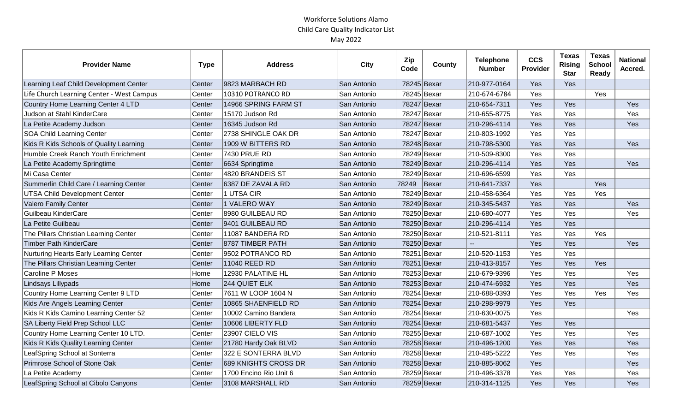| <b>Provider Name</b>                      | <b>Type</b> | <b>Address</b>         | <b>City</b> | Zip<br>Code | <b>County</b> | <b>Telephone</b><br><b>Number</b> | <b>CCS</b><br>Provider | <b>Texas</b><br><b>Rising</b><br><b>Star</b> | <b>Texas</b><br><b>School</b><br><b>Ready</b> | <b>National</b><br>Accred. |
|-------------------------------------------|-------------|------------------------|-------------|-------------|---------------|-----------------------------------|------------------------|----------------------------------------------|-----------------------------------------------|----------------------------|
| Learning Leaf Child Development Center    | Center      | 9823 MARBACH RD        | San Antonio | 78245 Bexar |               | 210-977-0164                      | Yes                    | Yes                                          |                                               |                            |
| Life Church Learning Center - West Campus | Center      | 10310 POTRANCO RD      | San Antonio | 78245 Bexar |               | 210-674-6784                      | Yes                    |                                              | Yes                                           |                            |
| Country Home Learning Center 4 LTD        | Center      | 14966 SPRING FARM ST   | San Antonio | 78247 Bexar |               | 210-654-7311                      | Yes                    | Yes                                          |                                               | Yes                        |
| Judson at Stahl KinderCare                | Center      | 15170 Judson Rd        | San Antonio | 78247 Bexar |               | 210-655-8775                      | Yes                    | Yes                                          |                                               | Yes                        |
| La Petite Academy Judson                  | Center      | 16345 Judson Rd        | San Antonio | 78247 Bexar |               | 210-296-4114                      | Yes                    | Yes                                          |                                               | Yes                        |
| <b>SOA Child Learning Center</b>          | Center      | 2738 SHINGLE OAK DR    | San Antonio | 78247 Bexar |               | 210-803-1992                      | Yes                    | Yes                                          |                                               |                            |
| Kids R Kids Schools of Quality Learning   | Center      | 1909 W BITTERS RD      | San Antonio | 78248 Bexar |               | 210-798-5300                      | Yes                    | Yes                                          |                                               | Yes                        |
| Humble Creek Ranch Youth Enrichment       | Center      | 7430 PRUE RD           | San Antonio | 78249 Bexar |               | 210-509-8300                      | Yes                    | Yes                                          |                                               |                            |
| La Petite Academy Springtime              | Center      | 6634 Springtime        | San Antonio | 78249 Bexar |               | 210-296-4114                      | Yes                    | Yes                                          |                                               | Yes                        |
| Mi Casa Center                            | Center      | 4820 BRANDEIS ST       | San Antonio | 78249 Bexar |               | 210-696-6599                      | Yes                    | Yes                                          |                                               |                            |
| Summerlin Child Care / Learning Center    | Center      | 6387 DE ZAVALA RD      | San Antonio | 78249       | Bexar         | 210-641-7337                      | Yes                    |                                              | Yes                                           |                            |
| <b>UTSA Child Development Center</b>      | Center      | 1 UTSA CIR             | San Antonio | 78249 Bexar |               | 210-458-6364                      | Yes                    | Yes                                          | Yes                                           |                            |
| Valero Family Center                      | Center      | 1 VALERO WAY           | San Antonio | 78249 Bexar |               | 210-345-5437                      | Yes                    | Yes                                          |                                               | Yes                        |
| Guilbeau KinderCare                       | Center      | 8980 GUILBEAU RD       | San Antonio | 78250 Bexar |               | 210-680-4077                      | Yes                    | Yes                                          |                                               | Yes                        |
| La Petite Guilbeau                        | Center      | 9401 GUILBEAU RD       | San Antonio | 78250 Bexar |               | 210-296-4114                      | Yes                    | Yes                                          |                                               |                            |
| The Pillars Christian Learning Center     | Center      | 11087 BANDERA RD       | San Antonio | 78250 Bexar |               | 210-521-8111                      | Yes                    | Yes                                          | Yes                                           |                            |
| <b>Timber Path KinderCare</b>             | Center      | 8787 TIMBER PATH       | San Antonio | 78250 Bexar |               |                                   | Yes                    | Yes                                          |                                               | Yes                        |
| Nurturing Hearts Early Learning Center    | Center      | 9502 POTRANCO RD       | San Antonio | 78251 Bexar |               | 210-520-1153                      | Yes                    | Yes                                          |                                               |                            |
| The Pillars Christian Learning Center     | Center      | 11040 REED RD          | San Antonio | 78251 Bexar |               | 210-413-8157                      | Yes                    | Yes                                          | Yes                                           |                            |
| Caroline P Moses                          | Home        | 12930 PALATINE HL      | San Antonio | 78253 Bexar |               | 210-679-9396                      | Yes                    | Yes                                          |                                               | Yes                        |
| Lindsays Lillypads                        | Home        | 244 QUIET ELK          | San Antonio | 78253 Bexar |               | 210-474-6932                      | Yes                    | Yes                                          |                                               | Yes                        |
| Country Home Learning Center 9 LTD        | Center      | 7611 W LOOP 1604 N     | San Antonio | 78254 Bexar |               | 210-688-0393                      | Yes                    | Yes                                          | Yes                                           | Yes                        |
| Kids Are Angels Learning Center           | Center      | 10865 SHAENFIELD RD    | San Antonio | 78254 Bexar |               | 210-298-9979                      | Yes                    | Yes                                          |                                               |                            |
| Kids R Kids Camino Learning Center 52     | Center      | 10002 Camino Bandera   | San Antonio | 78254 Bexar |               | 210-630-0075                      | Yes                    |                                              |                                               | Yes                        |
| SA Liberty Field Prep School LLC          | Center      | 10606 LIBERTY FLD      | San Antonio | 78254 Bexar |               | 210-681-5437                      | Yes                    | Yes                                          |                                               |                            |
| Country Home Learning Center 10 LTD.      | Center      | 23907 CIELO VIS        | San Antonio | 78255 Bexar |               | 210-687-1002                      | Yes                    | Yes                                          |                                               | Yes                        |
| Kids R Kids Quality Learning Center       | Center      | 21780 Hardy Oak BLVD   | San Antonio | 78258 Bexar |               | 210-496-1200                      | Yes                    | Yes                                          |                                               | Yes                        |
| LeafSpring School at Sonterra             | Center      | 322 E SONTERRA BLVD    | San Antonio | 78258 Bexar |               | 210-495-5222                      | Yes                    | Yes                                          |                                               | Yes                        |
| Primrose School of Stone Oak              | Center      | 689 KNIGHTS CROSS DR   | San Antonio | 78258 Bexar |               | 210-885-8062                      | Yes                    |                                              |                                               | Yes                        |
| La Petite Academy                         | Center      | 1700 Encino Rio Unit 6 | San Antonio | 78259 Bexar |               | 210-496-3378                      | Yes                    | Yes                                          |                                               | Yes                        |
| LeafSpring School at Cibolo Canyons       | Center      | 3108 MARSHALL RD       | San Antonio | 78259 Bexar |               | 210-314-1125                      | Yes                    | Yes                                          |                                               | Yes                        |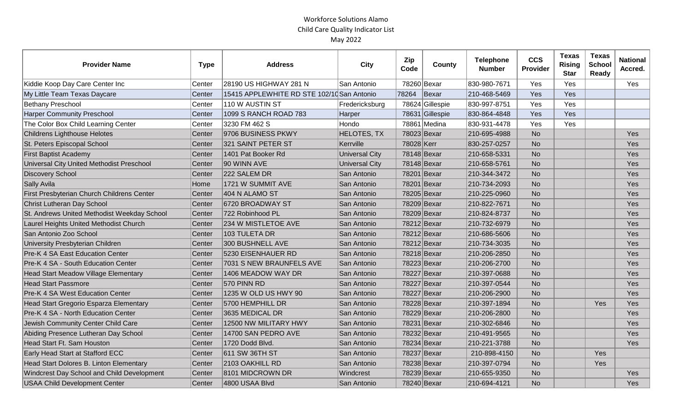| <b>Provider Name</b>                        | <b>Type</b> | <b>Address</b>                             | <b>City</b>           | Zip<br>Code | County          | <b>Telephone</b><br><b>Number</b> | <b>CCS</b><br>Provider | <b>Texas</b><br><b>Rising</b><br><b>Star</b> | <b>Texas</b><br><b>School</b><br><b>Ready</b> | <b>National</b><br>Accred. |
|---------------------------------------------|-------------|--------------------------------------------|-----------------------|-------------|-----------------|-----------------------------------|------------------------|----------------------------------------------|-----------------------------------------------|----------------------------|
| Kiddie Koop Day Care Center Inc             | Center      | 28190 US HIGHWAY 281 N                     | San Antonio           |             | 78260 Bexar     | 830-980-7671                      | Yes                    | Yes                                          |                                               | Yes                        |
| My Little Team Texas Daycare                | Center      | 15415 APPLEWHITE RD STE 102/10 San Antonio |                       | 78264       | Bexar           | 210-468-5469                      | Yes                    | Yes                                          |                                               |                            |
| <b>Bethany Preschool</b>                    | Center      | 110 W AUSTIN ST                            | Fredericksburg        |             | 78624 Gillespie | 830-997-8751                      | Yes                    | Yes                                          |                                               |                            |
| <b>Harper Community Preschool</b>           | Center      | 1099 S RANCH ROAD 783                      | Harper                |             | 78631 Gillespie | 830-864-4848                      | Yes                    | Yes                                          |                                               |                            |
| The Color Box Child Learning Center         | Center      | 3230 FM 462 S                              | Hondo                 |             | 78861 Medina    | 830-931-4478                      | Yes                    | Yes                                          |                                               |                            |
| Childrens Lighthouse Helotes                | Center      | 9706 BUSINESS PKWY                         | <b>HELOTES, TX</b>    |             | 78023 Bexar     | 210-695-4988                      | <b>No</b>              |                                              |                                               | Yes                        |
| St. Peters Episcopal School                 | Center      | 321 SAINT PETER ST                         | Kerrville             | 78028 Kerr  |                 | 830-257-0257                      | <b>No</b>              |                                              |                                               | Yes                        |
| <b>First Baptist Academy</b>                | Center      | 1401 Pat Booker Rd                         | <b>Universal City</b> |             | 78148 Bexar     | 210-658-5331                      | <b>No</b>              |                                              |                                               | Yes                        |
| Universal City United Methodist Preschool   | Center      | 90 WINN AVE                                | <b>Universal City</b> |             | 78148 Bexar     | 210-658-5761                      | <b>No</b>              |                                              |                                               | Yes                        |
| Discovery School                            | Center      | 222 SALEM DR                               | San Antonio           |             | 78201 Bexar     | 210-344-3472                      | <b>No</b>              |                                              |                                               | Yes                        |
| Sally Avila                                 | Home        | 1721 W SUMMIT AVE                          | San Antonio           |             | 78201 Bexar     | 210-734-2093                      | <b>No</b>              |                                              |                                               | Yes                        |
| First Presbyterian Church Childrens Center  | Center      | 404 N ALAMO ST                             | San Antonio           |             | 78205 Bexar     | 210-225-0960                      | <b>No</b>              |                                              |                                               | Yes                        |
| <b>Christ Lutheran Day School</b>           | Center      | 6720 BROADWAY ST                           | San Antonio           |             | 78209 Bexar     | 210-822-7671                      | <b>No</b>              |                                              |                                               | Yes                        |
| St. Andrews United Methodist Weekday School | Center      | 722 Robinhood PL                           | San Antonio           |             | 78209 Bexar     | 210-824-8737                      | <b>No</b>              |                                              |                                               | Yes                        |
| Laurel Heights United Methodist Church      | Center      | 234 W MISTLETOE AVE                        | San Antonio           |             | 78212 Bexar     | 210-732-6979                      | <b>No</b>              |                                              |                                               | Yes                        |
| San Antonio Zoo School                      | Center      | 103 TULETA DR                              | San Antonio           |             | 78212 Bexar     | 210-686-5606                      | <b>No</b>              |                                              |                                               | Yes                        |
| <b>University Presbyterian Children</b>     | Center      | 300 BUSHNELL AVE                           | San Antonio           |             | 78212 Bexar     | 210-734-3035                      | <b>No</b>              |                                              |                                               | Yes                        |
| <b>Pre-K 4 SA East Education Center</b>     | Center      | 5230 EISENHAUER RD                         | San Antonio           |             | 78218 Bexar     | 210-206-2850                      | <b>No</b>              |                                              |                                               | Yes                        |
| Pre-K 4 SA - South Education Center         | Center      | 7031 S NEW BRAUNFELS AVE                   | San Antonio           |             | 78223 Bexar     | 210-206-2700                      | <b>No</b>              |                                              |                                               | Yes                        |
| Head Start Meadow Village Elementary        | Center      | 1406 MEADOW WAY DR                         | San Antonio           |             | 78227 Bexar     | 210-397-0688                      | <b>No</b>              |                                              |                                               | Yes                        |
| <b>Head Start Passmore</b>                  | Center      | 570 PINN RD                                | San Antonio           |             | 78227 Bexar     | 210-397-0544                      | <b>No</b>              |                                              |                                               | Yes                        |
| <b>Pre-K 4 SA West Education Center</b>     | Center      | 1235 W OLD US HWY 90                       | San Antonio           |             | 78227 Bexar     | 210-206-2900                      | <b>No</b>              |                                              |                                               | Yes                        |
| Head Start Gregorio Esparza Elementary      | Center      | 5700 HEMPHILL DR                           | San Antonio           |             | 78228 Bexar     | 210-397-1894                      | <b>No</b>              |                                              | Yes                                           | Yes                        |
| Pre-K 4 SA - North Education Center         | Center      | 3635 MEDICAL DR                            | San Antonio           |             | 78229 Bexar     | 210-206-2800                      | <b>No</b>              |                                              |                                               | Yes                        |
| Jewish Community Center Child Care          | Center      | 12500 NW MILITARY HWY                      | San Antonio           |             | 78231 Bexar     | 210-302-6846                      | <b>No</b>              |                                              |                                               | Yes                        |
| Abiding Presence Lutheran Day School        | Center      | 14700 SAN PEDRO AVE                        | San Antonio           |             | 78232 Bexar     | 210-491-9565                      | <b>No</b>              |                                              |                                               | Yes                        |
| Head Start Ft. Sam Houston                  | Center      | 1720 Dodd Blvd.                            | San Antonio           |             | 78234 Bexar     | 210-221-3788                      | <b>No</b>              |                                              |                                               | Yes                        |
| Early Head Start at Stafford ECC            | Center      | 611 SW 36TH ST                             | San Antonio           |             | 78237 Bexar     | 210-898-4150                      | <b>No</b>              |                                              | Yes                                           |                            |
| Head Start Dolores B. Linton Elementary     | Center      | 2103 OAKHILL RD                            | San Antonio           |             | 78238 Bexar     | 210-397-0794                      | <b>No</b>              |                                              | Yes                                           |                            |
| Windcrest Day School and Child Development  | Center      | 8101 MIDCROWN DR                           | Windcrest             |             | 78239 Bexar     | 210-655-9350                      | <b>No</b>              |                                              |                                               | Yes                        |
| <b>USAA Child Development Center</b>        | Center      | 4800 USAA Blvd                             | San Antonio           |             | 78240 Bexar     | 210-694-4121                      | <b>No</b>              |                                              |                                               | Yes                        |